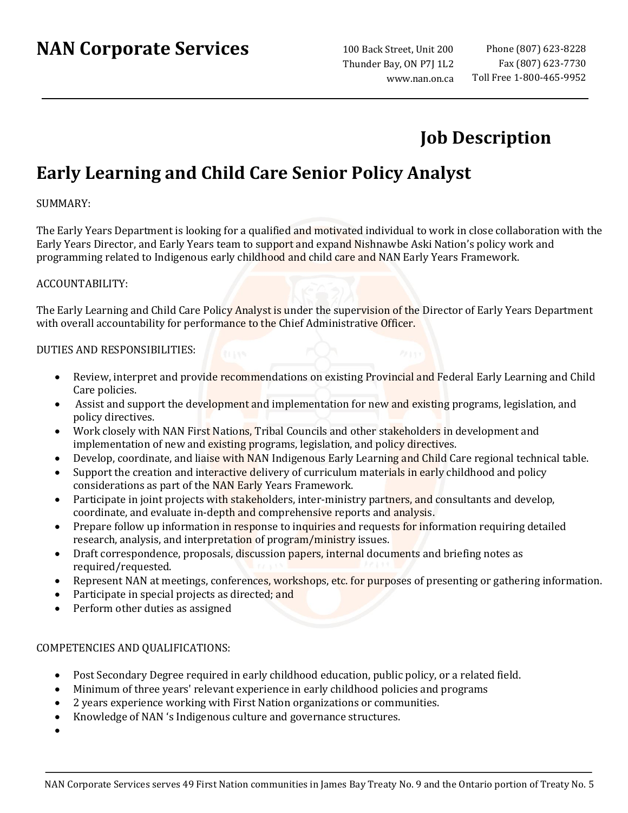# **NAN Corporate Services**

100 Back Street, Unit 200 Thunder Bay, ON P7J 1L2 www.nan.on.ca

# **Job Description**

## **Early Learning and Child Care Senior Policy Analyst**

#### SUMMARY:

The Early Years Department is looking for a qualified and motivated individual to work in close collaboration with the Early Years Director, and Early Years team to support and expand Nishnawbe Aski Nation's policy work and programming related to Indigenous early childhood and child care and NAN Early Years Framework.

#### ACCOUNTABILITY:

The Early Learning and Child Care Policy Analyst is under the supervision of the Director of Early Years Department with overall accountability for performance to the Chief Administrative Officer.

#### DUTIES AND RESPONSIBILITIES:

- Review, interpret and provide recommendations on existing Provincial and Federal Early Learning and Child Care policies.
- Assist and support the development and implementation for new and existing programs, legislation, and policy directives.
- Work closely with NAN First Nations, Tribal Councils and other stakeholders in development and implementation of new and existing programs, legislation, and policy directives.
- Develop, coordinate, and liaise with NAN Indigenous Early Learning and Child Care regional technical table.
- Support the creation and interactive delivery of curriculum materials in early childhood and policy considerations as part of the NAN Early Years Framework.
- Participate in joint projects with stakeholders, inter-ministry partners, and consultants and develop, coordinate, and evaluate in-depth and comprehensive reports and analysis.
- Prepare follow up information in response to inquiries and requests for information requiring detailed research, analysis, and interpretation of program/ministry issues.
- Draft correspondence, proposals, discussion papers, internal documents and briefing notes as required/requested.
- Represent NAN at meetings, conferences, workshops, etc. for purposes of presenting or gathering information.
- Participate in special projects as directed; and
- Perform other duties as assigned

#### COMPETENCIES AND QUALIFICATIONS:

- Post Secondary Degree required in early childhood education, public policy, or a related field.
- Minimum of three years' relevant experience in early childhood policies and programs
- 2 years experience working with First Nation organizations or communities.
- Knowledge of NAN 's Indigenous culture and governance structures.
- •